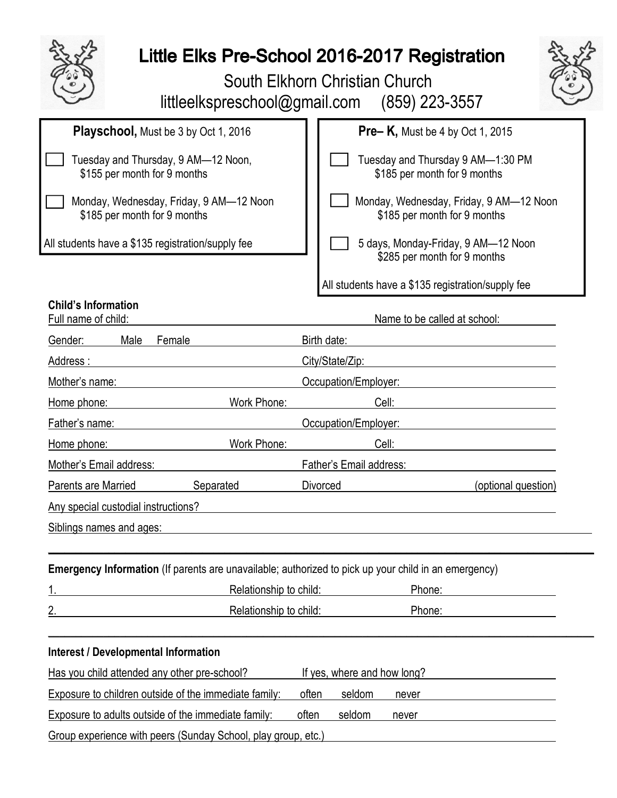

## Little Elks Pre-School 2016-2017 Registration

 South Elkhorn Christian Church littleelkspreschool@gmail.com (859) 223-3557



| <b>Playschool, Must be 3 by Oct 1, 2016</b>                                                          | <b>Pre-K,</b> Must be 4 by Oct 1, 2015                                  |  |  |  |  |
|------------------------------------------------------------------------------------------------------|-------------------------------------------------------------------------|--|--|--|--|
| Tuesday and Thursday, 9 AM-12 Noon,<br>\$155 per month for 9 months                                  | Tuesday and Thursday 9 AM-1:30 PM<br>\$185 per month for 9 months       |  |  |  |  |
| Monday, Wednesday, Friday, 9 AM-12 Noon<br>\$185 per month for 9 months                              | Monday, Wednesday, Friday, 9 AM-12 Noon<br>\$185 per month for 9 months |  |  |  |  |
| All students have a \$135 registration/supply fee                                                    | 5 days, Monday-Friday, 9 AM-12 Noon<br>\$285 per month for 9 months     |  |  |  |  |
|                                                                                                      | All students have a \$135 registration/supply fee                       |  |  |  |  |
| <b>Child's Information</b><br>Full name of child:                                                    | Name to be called at school:                                            |  |  |  |  |
| Gender:<br>Male<br>Female                                                                            | Birth date:                                                             |  |  |  |  |
| Address:                                                                                             | City/State/Zip:                                                         |  |  |  |  |
| Mother's name:                                                                                       | Occupation/Employer:                                                    |  |  |  |  |
| Work Phone:<br>Home phone:                                                                           | Cell:                                                                   |  |  |  |  |
| Father's name:                                                                                       | Occupation/Employer:                                                    |  |  |  |  |
| Work Phone:<br>Home phone:                                                                           | Cell:                                                                   |  |  |  |  |
| Mother's Email address:                                                                              | Father's Email address:                                                 |  |  |  |  |
| Parents are Married<br>Separated                                                                     | <b>Divorced</b><br>(optional question)                                  |  |  |  |  |
| Any special custodial instructions?                                                                  |                                                                         |  |  |  |  |
| Siblings names and ages:                                                                             |                                                                         |  |  |  |  |
| Emergency Information (If parents are unavailable; authorized to pick up your child in an emergency) |                                                                         |  |  |  |  |
|                                                                                                      | Relationship to child:<br>Phone:                                        |  |  |  |  |
| Relationship to child:                                                                               | Phone:                                                                  |  |  |  |  |
| <b>Interest / Developmental Information</b>                                                          |                                                                         |  |  |  |  |
| Has you child attended any other pre-school?<br>If yes, where and how long?                          |                                                                         |  |  |  |  |
| Exposure to children outside of the immediate family:<br>often                                       | seldom<br>never                                                         |  |  |  |  |
| often<br>Exposure to adults outside of the immediate family:                                         | seldom<br>never                                                         |  |  |  |  |
| Group experience with peers (Sunday School, play group, etc.)                                        |                                                                         |  |  |  |  |
|                                                                                                      |                                                                         |  |  |  |  |